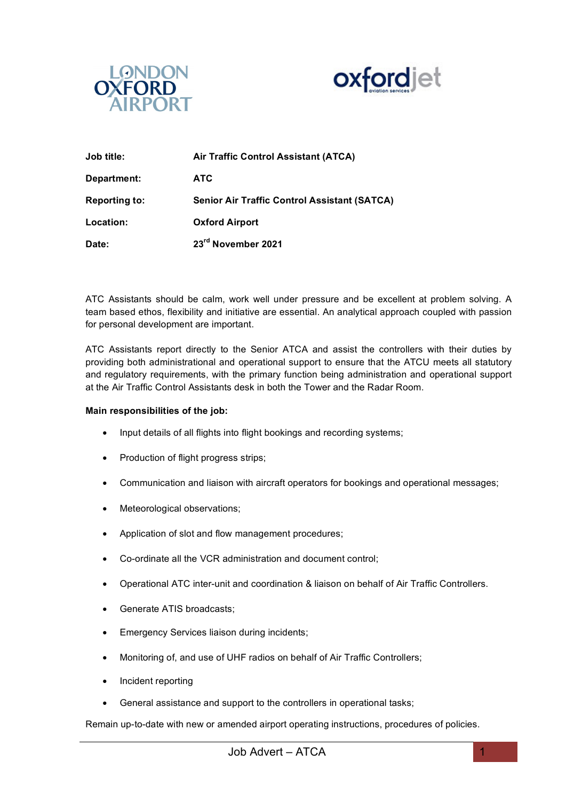



| Job title:           | Air Traffic Control Assistant (ATCA)                |
|----------------------|-----------------------------------------------------|
| Department:          | <b>ATC</b>                                          |
| <b>Reporting to:</b> | <b>Senior Air Traffic Control Assistant (SATCA)</b> |
| Location:            | <b>Oxford Airport</b>                               |
| Date:                | 23rd November 2021                                  |

ATC Assistants should be calm, work well under pressure and be excellent at problem solving. A team based ethos, flexibility and initiative are essential. An analytical approach coupled with passion for personal development are important.

ATC Assistants report directly to the Senior ATCA and assist the controllers with their duties by providing both administrational and operational support to ensure that the ATCU meets all statutory and regulatory requirements, with the primary function being administration and operational support at the Air Traffic Control Assistants desk in both the Tower and the Radar Room.

## **Main responsibilities of the job:**

- Input details of all flights into flight bookings and recording systems:
- Production of flight progress strips;
- Communication and liaison with aircraft operators for bookings and operational messages;
- Meteorological observations;
- Application of slot and flow management procedures;
- Co-ordinate all the VCR administration and document control;
- Operational ATC inter-unit and coordination & liaison on behalf of Air Traffic Controllers.
- Generate ATIS broadcasts;
- Emergency Services liaison during incidents;
- Monitoring of, and use of UHF radios on behalf of Air Traffic Controllers;
- Incident reporting
- General assistance and support to the controllers in operational tasks;

Remain up-to-date with new or amended airport operating instructions, procedures of policies.